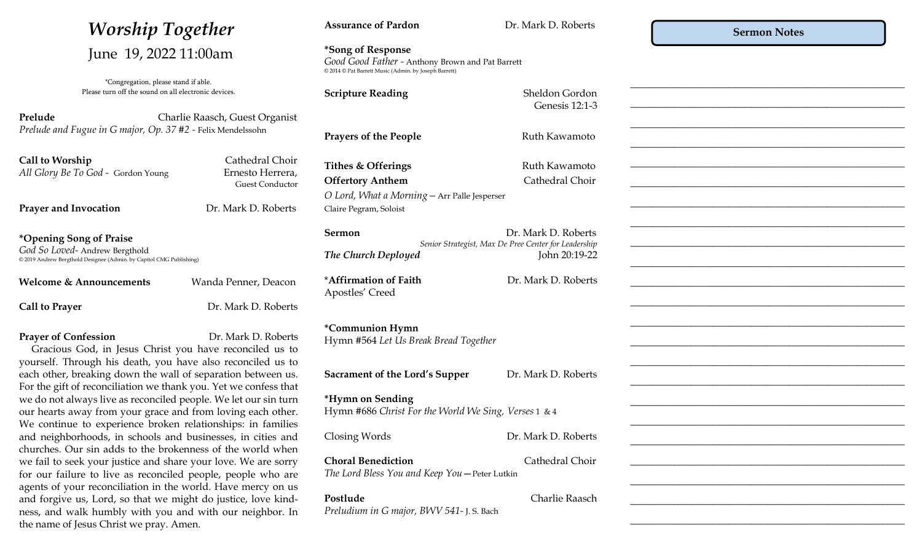| <b>Worship Together</b><br>June 19, 2022 11:00am                                                                                                                                               |                                     | <b>Assurance of Pardon</b>                                                                                                     | Dr. Mark D. Roberts                                                                          | <b>Sermon Notes</b> |
|------------------------------------------------------------------------------------------------------------------------------------------------------------------------------------------------|-------------------------------------|--------------------------------------------------------------------------------------------------------------------------------|----------------------------------------------------------------------------------------------|---------------------|
|                                                                                                                                                                                                |                                     | *Song of Response<br>Good Good Father - Anthony Brown and Pat Barrett<br>© 2014 © Pat Barrett Music (Admin. by Joseph Barrett) |                                                                                              |                     |
| *Congregation, please stand if able.<br>Please turn off the sound on all electronic devices.                                                                                                   |                                     | <b>Scripture Reading</b>                                                                                                       | Sheldon Gordon<br>Genesis 12:1-3                                                             |                     |
| Prelude<br>Charlie Raasch, Guest Organist<br>Prelude and Fugue in G major, Op. 37 #2 - Felix Mendelssohn                                                                                       |                                     | <b>Prayers of the People</b>                                                                                                   | Ruth Kawamoto                                                                                |                     |
| Call to Worship                                                                                                                                                                                | Cathedral Choir                     | Tithes & Offerings                                                                                                             | Ruth Kawamoto                                                                                |                     |
| All Glory Be To God - Gordon Young                                                                                                                                                             | Ernesto Herrera,<br>Guest Conductor | <b>Offertory Anthem</b>                                                                                                        | Cathedral Choir                                                                              |                     |
| <b>Prayer and Invocation</b>                                                                                                                                                                   | Dr. Mark D. Roberts                 | O Lord, What a Morning - Arr Palle Jesperser<br>Claire Pegram, Soloist                                                         |                                                                                              |                     |
| *Opening Song of Praise<br>God So Loved-Andrew Bergthold                                                                                                                                       |                                     | Sermon                                                                                                                         | Dr. Mark D. Roberts<br>Senior Strategist, Max De Pree Center for Leadership<br>John 20:19-22 |                     |
| © 2019 Andrew Bergthold Designee (Admin. by Capitol CMG Publishing)                                                                                                                            |                                     | The Church Deployed                                                                                                            |                                                                                              |                     |
| <b>Welcome &amp; Announcements</b>                                                                                                                                                             | Wanda Penner, Deacon                | *Affirmation of Faith<br>Apostles' Creed                                                                                       | Dr. Mark D. Roberts                                                                          |                     |
| <b>Call to Prayer</b>                                                                                                                                                                          | Dr. Mark D. Roberts                 |                                                                                                                                |                                                                                              |                     |
| <b>Prayer of Confession</b><br>Dr. Mark D. Roberts<br>Gracious God, in Jesus Christ you have reconciled us to<br>yourself. Through his death, you have also reconciled us to                   |                                     | *Communion Hymn<br>Hymn #564 Let Us Break Bread Together                                                                       |                                                                                              |                     |
| each other, breaking down the wall of separation between us.<br>For the gift of reconciliation we thank you. Yet we confess that                                                               |                                     | <b>Sacrament of the Lord's Supper</b>                                                                                          | Dr. Mark D. Roberts                                                                          |                     |
| we do not always live as reconciled people. We let our sin turn<br>our hearts away from your grace and from loving each other.<br>We continue to experience broken relationships: in families  |                                     | *Hymn on Sending<br>Hymn #686 Christ For the World We Sing, Verses 1 & 4                                                       |                                                                                              |                     |
| and neighborhoods, in schools and businesses, in cities and<br>churches. Our sin adds to the brokenness of the world when                                                                      |                                     | Closing Words                                                                                                                  | Dr. Mark D. Roberts                                                                          |                     |
| we fail to seek your justice and share your love. We are sorry<br>for our failure to live as reconciled people, people who are<br>agents of your reconciliation in the world. Have mercy on us |                                     | <b>Choral Benediction</b><br>The Lord Bless You and Keep You - Peter Lutkin                                                    | Cathedral Choir                                                                              |                     |
| and forgive us, Lord, so that we might do justice, love kind-<br>ness, and walk humbly with you and with our neighbor. In<br>the name of Jesus Christ we pray. Amen.                           |                                     | Postlude<br>Preludium in G major, BWV 541-J.S. Bach                                                                            | Charlie Raasch                                                                               |                     |